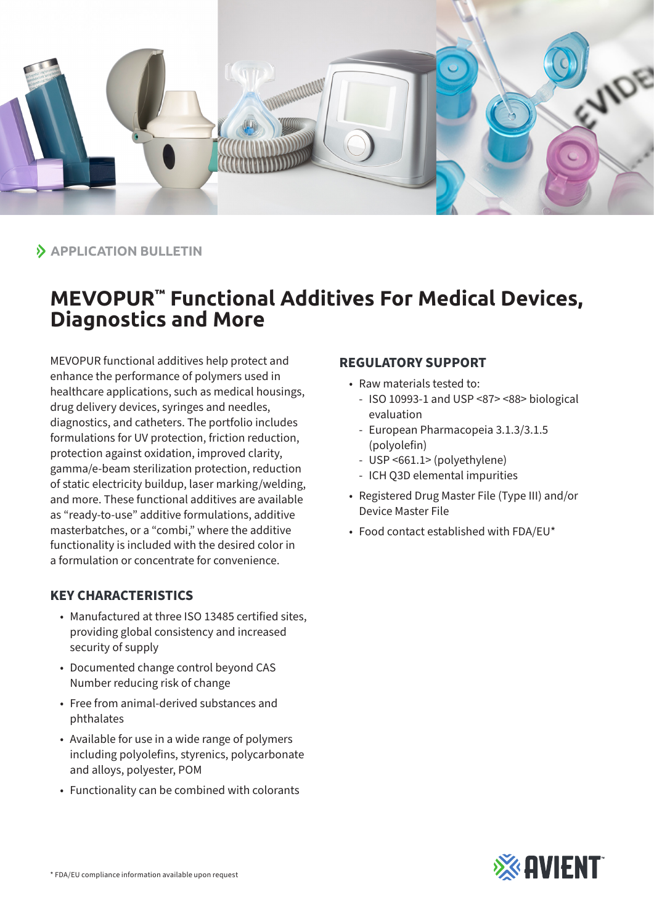

 $\lambda$  **APPLICATION BULLETIN** 

## **MEVOPUR™ Functional Additives For Medical Devices, Diagnostics and More**

MEVOPUR functional additives help protect and enhance the performance of polymers used in healthcare applications, such as medical housings, drug delivery devices, syringes and needles, diagnostics, and catheters. The portfolio includes formulations for UV protection, friction reduction, protection against oxidation, improved clarity, gamma/e-beam sterilization protection, reduction of static electricity buildup, laser marking/welding, and more. These functional additives are available as "ready-to-use" additive formulations, additive masterbatches, or a "combi," where the additive functionality is included with the desired color in a formulation or concentrate for convenience.

## **KEY CHARACTERISTICS**

- Manufactured at three ISO 13485 certified sites, providing global consistency and increased security of supply
- Documented change control beyond CAS Number reducing risk of change
- Free from animal-derived substances and phthalates
- Available for use in a wide range of polymers including polyolefins, styrenics, polycarbonate and alloys, polyester, POM
- Functionality can be combined with colorants

## **REGULATORY SUPPORT**

- Raw materials tested to:
	- ISO 10993-1 and USP <87> <88> biological evaluation
	- European Pharmacopeia 3.1.3/3.1.5 (polyolefin)
	- USP <661.1> (polyethylene)
	- ICH Q3D elemental impurities
- Registered Drug Master File (Type III) and/or Device Master File
- Food contact established with FDA/EU\*